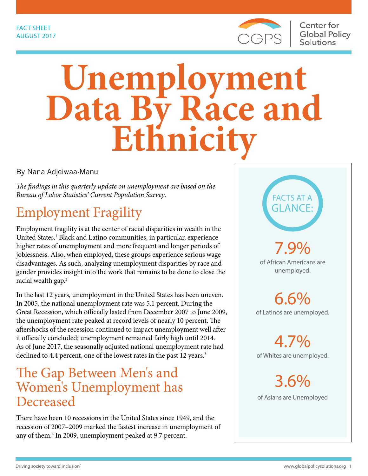

# **Unemployment Data By Race and Ethnicity**

By Nana Adjeiwaa-Manu

*The findings in this quarterly update on unemployment are based on the Bureau of Labor Statistics' Current Population Survey*.

# Employment Fragility

Employment fragility is at the center of racial disparities in wealth in the United States.<sup>1</sup> Black and Latino communities, in particular, experience higher rates of unemployment and more frequent and longer periods of joblessness. Also, when employed, these groups experience serious wage disadvantages. As such, analyzing unemployment disparities by race and gender provides insight into the work that remains to be done to close the racial wealth gap.<sup>2</sup>

In the last 12 years, unemployment in the United States has been uneven. In 2005, the national unemployment rate was 5.1 percent. During the Great Recession, which officially lasted from December 2007 to June 2009, the unemployment rate peaked at record levels of nearly 10 percent. The aftershocks of the recession continued to impact unemployment well after it officially concluded; unemployment remained fairly high until 2014. As of June 2017, the seasonally adjusted national unemployment rate had declined to 4.4 percent, one of the lowest rates in the past 12 years.<sup>3</sup>

#### The Gap Between Men's and Women's Unemployment has Decreased

There have been 10 recessions in the United States since 1949, and the recession of 2007–2009 marked the fastest increase in unemployment of any of them.4 In 2009, unemployment peaked at 9.7 percent.

FACTS AT A GLANCE:

7.9% of African Americans are unemployed.

6.6% of Latinos are unemployed.

4.7% of Whites are unemployed.

3.6% of Asians are Unemployed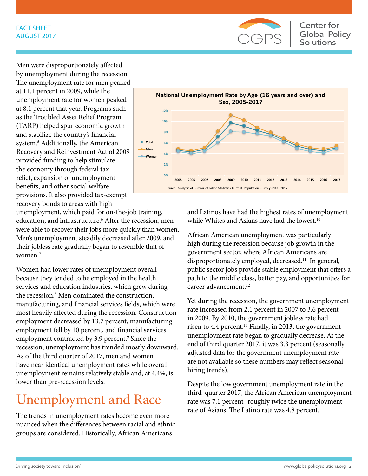#### FACT SHEET AUGUST 2017



Men were disproportionately affected by unemployment during the recession. The unemployment rate for men peaked at 11.1 percent in 2009, while the unemployment rate for women peaked at 8.1 percent that year. Programs such as the Troubled Asset Relief Program (TARP) helped spur economic growth and stabilize the country's financial system.5 Additionally, the American Recovery and Reinvestment Act of 2009 provided funding to help stimulate the economy through federal tax relief, expansion of unemployment benefits, and other social welfare provisions. It also provided tax-exempt recovery bonds to areas with high



unemployment, which paid for on-the-job training, education, and infrastructure.<sup>6</sup> After the recession, men were able to recover their jobs more quickly than women. Men's unemployment steadily decreased after 2009, and their jobless rate gradually began to resemble that of women.<sup>7</sup>

Women had lower rates of unemployment overall because they tended to be employed in the health services and education industries, which grew during the recession.<sup>8</sup> Men dominated the construction, manufacturing, and financial services fields, which were most heavily affected during the recession. Construction employment decreased by 13.7 percent, manufacturing employment fell by 10 percent, and financial services employment contracted by 3.9 percent.<sup>9</sup> Since the recession, unemployment has trended mostly downward. As of the third quarter of 2017, men and women have near identical unemployment rates while overall unemployment remains relatively stable and, at 4.4%, is lower than pre-recession levels.

# Unemployment and Race

The trends in unemployment rates become even more nuanced when the differences between racial and ethnic groups are considered. Historically, African Americans

and Latinos have had the highest rates of unemployment while Whites and Asians have had the lowest.<sup>10</sup>

African American unemployment was particularly high during the recession because job growth in the government sector, where African Americans are disproportionately employed, decreased.<sup>11</sup> In general, public sector jobs provide stable employment that offers a path to the middle class, better pay, and opportunities for career advancement.<sup>12</sup>

Yet during the recession, the government unemployment rate increased from 2.1 percent in 2007 to 3.6 percent in 2009. By 2010, the government jobless rate had risen to 4.4 percent.<sup>13</sup> Finally, in 2013, the government unemployment rate began to gradually decrease. At the end of third quarter 2017, it was 3.3 percent (seasonally adjusted data for the government unemployment rate are not available so these numbers may reflect seasonal hiring trends).

Despite the low government unemployment rate in the third quarter 2017, the African American unemployment rate was 7.1 percent- roughly twice the unemployment rate of Asians. The Latino rate was 4.8 percent.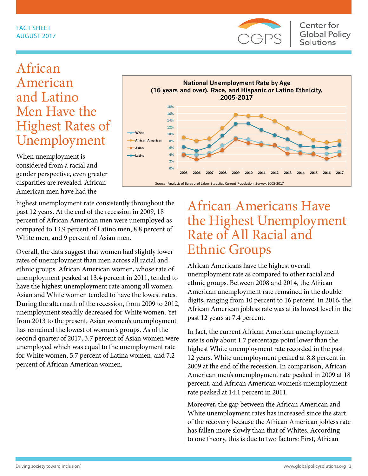

## African American and Latino Men Have the Highest Rates of Unemployment

When unemployment is considered from a racial and gender perspective, even greater disparities are revealed. African American men have had the

highest unemployment rate consistently throughout the past 12 years. At the end of the recession in 2009, 18 percent of African American men were unemployed as compared to 13.9 percent of Latino men, 8.8 percent of White men, and 9 percent of Asian men.

Overall, the data suggest that women had slightly lower rates of unemployment than men across all racial and ethnic groups. African American women, whose rate of unemployment peaked at 13.4 percent in 2011, tended to have the highest unemployment rate among all women. Asian and White women tended to have the lowest rates. During the aftermath of the recession, from 2009 to 2012, unemployment steadily decreased for White women. Yet from 2013 to the present, Asian women's unemployment has remained the lowest of women's groups. As of the second quarter of 2017, 3.7 percent of Asian women were unemployed which was equal to the unemployment rate for White women, 5.7 percent of Latina women, and 7.2 percent of African American women.



#### African Americans Have the Highest Unemployment Rate of All Racial and Ethnic Groups

African Americans have the highest overall unemployment rate as compared to other racial and ethnic groups. Between 2008 and 2014, the African American unemployment rate remained in the double digits, ranging from 10 percent to 16 percent. In 2016, the African American jobless rate was at its lowest level in the past 12 years at 7.4 percent.

In fact, the current African American unemployment rate is only about 1.7 percentage point lower than the highest White unemployment rate recorded in the past 12 years. White unemployment peaked at 8.8 percent in 2009 at the end of the recession. In comparison, African American men's unemployment rate peaked in 2009 at 18 percent, and African American women's unemployment rate peaked at 14.1 percent in 2011.

Moreover, the gap between the African American and White unemployment rates has increased since the start of the recovery because the African American jobless rate has fallen more slowly than that of Whites. According to one theory, this is due to two factors: First, African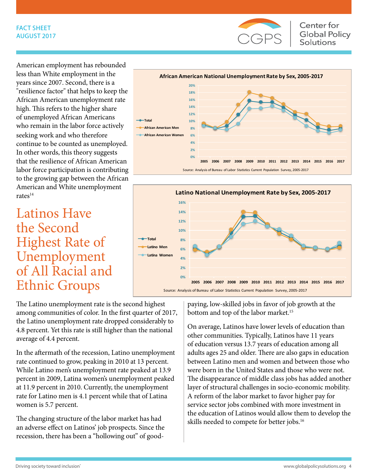#### FACT SHEET AUGUST 2017



**Center for Global Policy Solutions** 

American employment has rebounded less than White employment in the years since 2007. Second, there is a "resilience factor" that helps to keep the African American unemployment rate high. This refers to the higher share of unemployed African Americans who remain in the labor force actively seeking work and who therefore continue to be counted as unemployed. In other words, this theory suggests that the resilience of African American labor force participation is contributing to the growing gap between the African American and White unemployment  $rates<sup>14</sup>$ 

#### Latinos Have the Second Highest Rate of Unemployment of All Racial and Ethnic Groups

The Latino unemployment rate is the second highest among communities of color. In the first quarter of 2017, the Latino unemployment rate dropped considerably to 4.8 percent. Yet this rate is still higher than the national average of 4.4 percent.

In the aftermath of the recession, Latino unemployment rate continued to grow, peaking in 2010 at 13 percent. While Latino men's unemployment rate peaked at 13.9 percent in 2009, Latina women's unemployment peaked at 11.9 percent in 2010. Currently, the unemployment rate for Latino men is 4.1 percent while that of Latina women is 5.7 percent.

The changing structure of the labor market has had an adverse effect on Latinos' job prospects. Since the recession, there has been a "hollowing out" of good-





paying, low-skilled jobs in favor of job growth at the bottom and top of the labor market.<sup>15</sup>

On average, Latinos have lower levels of education than other communities. Typically, Latinos have 11 years of education versus 13.7 years of education among all adults ages 25 and older. There are also gaps in education between Latino men and women and between those who were born in the United States and those who were not. The disappearance of middle class jobs has added another layer of structural challenges in socio-economic mobility. A reform of the labor market to favor higher pay for service sector jobs combined with more investment in the education of Latinos would allow them to develop the skills needed to compete for better jobs.<sup>16</sup>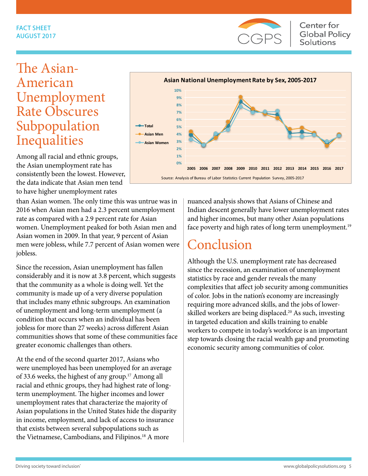

## The Asian-American Unemployment Rate Obscures Subpopulation Inequalities

Among all racial and ethnic groups, the Asian unemployment rate has consistently been the lowest. However, the data indicate that Asian men tend to have higher unemployment rates

than Asian women. The only time this was untrue was in 2016 when Asian men had a 2.3 percent unemployment rate as compared with a 2.9 percent rate for Asian women. Unemployment peaked for both Asian men and Asian women in 2009. In that year, 9 percent of Asian men were jobless, while 7.7 percent of Asian women were jobless.

Since the recession, Asian unemployment has fallen considerably and it is now at 3.8 percent, which suggests that the community as a whole is doing well. Yet the community is made up of a very diverse population that includes many ethnic subgroups. An examination of unemployment and long-term unemployment (a condition that occurs when an individual has been jobless for more than 27 weeks) across different Asian communities shows that some of these communities face greater economic challenges than others.

At the end of the second quarter 2017, Asians who were unemployed has been unemployed for an average of 33.6 weeks, the highest of any group.<sup>17</sup> Among all racial and ethnic groups, they had highest rate of longterm unemployment. The higher incomes and lower unemployment rates that characterize the majority of Asian populations in the United States hide the disparity in income, employment, and lack of access to insurance that exists between several subpopulations such as the Vietnamese, Cambodians, and Filipinos.<sup>18</sup> A more



nuanced analysis shows that Asians of Chinese and Indian descent generally have lower unemployment rates and higher incomes, but many other Asian populations face poverty and high rates of long term unemployment.<sup>19</sup>

# Conclusion

Although the U.S. unemployment rate has decreased since the recession, an examination of unemployment statistics by race and gender reveals the many complexities that affect job security among communities of color. Jobs in the nation's economy are increasingly requiring more advanced skills, and the jobs of lowerskilled workers are being displaced.<sup>20</sup> As such, investing in targeted education and skills training to enable workers to compete in today's workforce is an important step towards closing the racial wealth gap and promoting economic security among communities of color.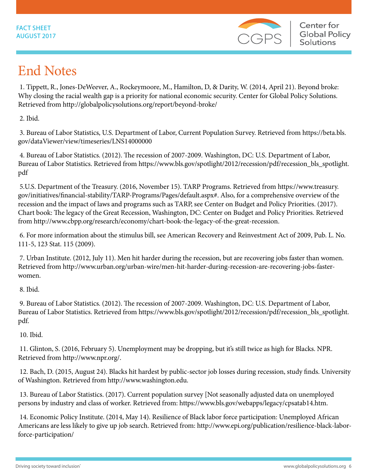

# End Notes

 1. Tippett, R., Jones-DeWeever, A., Rockeymoore, M., Hamilton, D, & Darity, W. (2014, April 21). Beyond broke: Why closing the racial wealth gap is a priority for national economic security. Center for Global Policy Solutions. Retrieved from http://globalpolicysolutions.org/report/beyond-broke/

2. Ibid.

 3. Bureau of Labor Statistics, U.S. Department of Labor, Current Population Survey. Retrieved from https://beta.bls. gov/dataViewer/view/timeseries/LNS14000000

 4. Bureau of Labor Statistics. (2012). The recession of 2007-2009. Washington, DC: U.S. Department of Labor, Bureau of Labor Statistics. Retrieved from https://www.bls.gov/spotlight/2012/recession/pdf/recession\_bls\_spotlight. pdf

 5.U.S. Department of the Treasury. (2016, November 15). TARP Programs. Retrieved from https://www.treasury. gov/initiatives/financial-stability/TARP-Programs/Pages/default.aspx#. Also, for a comprehensive overview of the recession and the impact of laws and programs such as TARP, see Center on Budget and Policy Priorities. (2017). Chart book: The legacy of the Great Recession, Washington, DC: Center on Budget and Policy Priorities. Retrieved from http://www.cbpp.org/research/economy/chart-book-the-legacy-of-the-great-recession.

 6. For more information about the stimulus bill, see American Recovery and Reinvestment Act of 2009, Pub. L. No. 111-5, 123 Stat. 115 (2009).

 7. Urban Institute. (2012, July 11). Men hit harder during the recession, but are recovering jobs faster than women. Retrieved from http://www.urban.org/urban-wire/men-hit-harder-during-recession-are-recovering-jobs-fasterwomen.

8. Ibid.

 9. Bureau of Labor Statistics. (2012). The recession of 2007-2009. Washington, DC: U.S. Department of Labor, Bureau of Labor Statistics. Retrieved from https://www.bls.gov/spotlight/2012/recession/pdf/recession\_bls\_spotlight. pdf.

10. Ibid.

 11. Glinton, S. (2016, February 5). Unemployment may be dropping, but it's still twice as high for Blacks. NPR. Retrieved from http://www.npr.org/.

 12. Bach, D. (2015, August 24). Blacks hit hardest by public-sector job losses during recession, study finds. University of Washington. Retrieved from http://www.washington.edu.

 13. Bureau of Labor Statistics. (2017). Current population survey [Not seasonally adjusted data on unemployed persons by industry and class of worker. Retrieved from: https://www.bls.gov/webapps/legacy/cpsatab14.htm.

 14. Economic Policy Institute. (2014, May 14). Resilience of Black labor force participation: Unemployed African Americans are less likely to give up job search. Retrieved from: http://www.epi.org/publication/resilience-black-laborforce-participation/